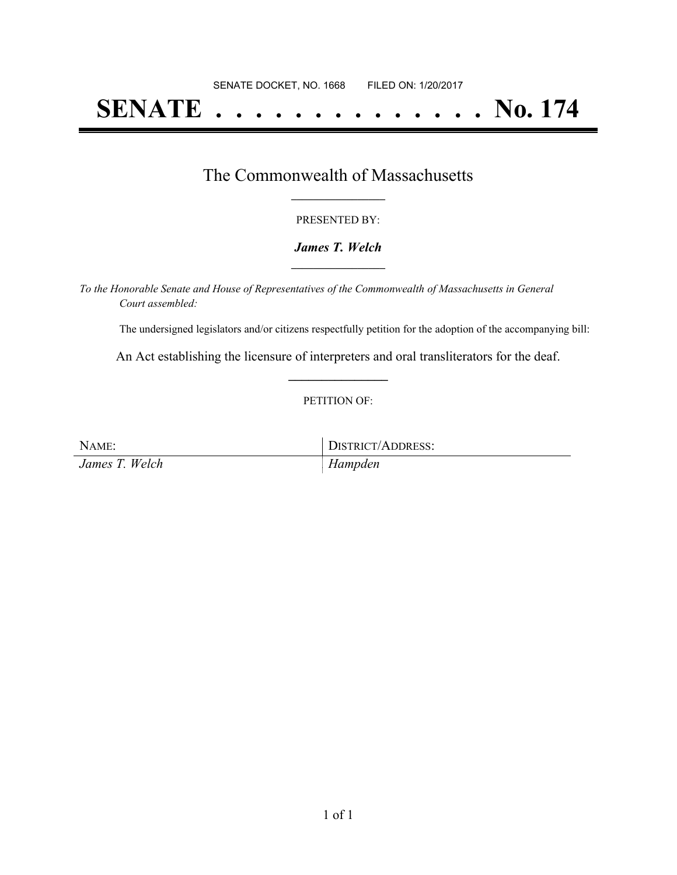# **SENATE . . . . . . . . . . . . . . No. 174**

## The Commonwealth of Massachusetts **\_\_\_\_\_\_\_\_\_\_\_\_\_\_\_\_\_**

#### PRESENTED BY:

#### *James T. Welch* **\_\_\_\_\_\_\_\_\_\_\_\_\_\_\_\_\_**

*To the Honorable Senate and House of Representatives of the Commonwealth of Massachusetts in General Court assembled:*

The undersigned legislators and/or citizens respectfully petition for the adoption of the accompanying bill:

An Act establishing the licensure of interpreters and oral transliterators for the deaf. **\_\_\_\_\_\_\_\_\_\_\_\_\_\_\_**

#### PETITION OF:

| NAME:          | DISTRICT/ADDRESS: |
|----------------|-------------------|
| James T. Welch | Hampden           |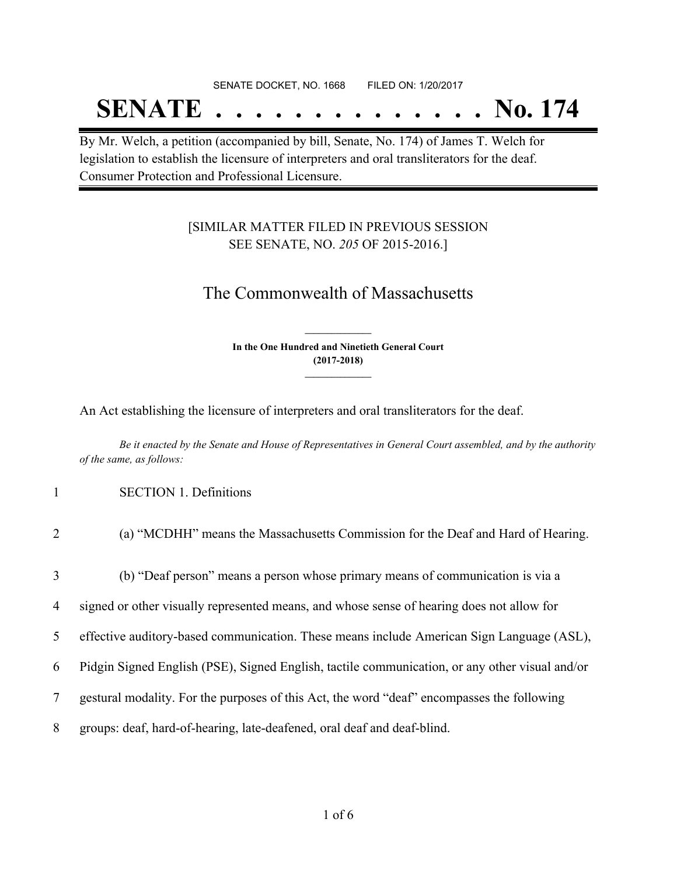# SENATE DOCKET, NO. 1668 FILED ON: 1/20/2017 **SENATE . . . . . . . . . . . . . . No. 174**

By Mr. Welch, a petition (accompanied by bill, Senate, No. 174) of James T. Welch for legislation to establish the licensure of interpreters and oral transliterators for the deaf. Consumer Protection and Professional Licensure.

### [SIMILAR MATTER FILED IN PREVIOUS SESSION SEE SENATE, NO. *205* OF 2015-2016.]

## The Commonwealth of Massachusetts

**In the One Hundred and Ninetieth General Court (2017-2018) \_\_\_\_\_\_\_\_\_\_\_\_\_\_\_**

**\_\_\_\_\_\_\_\_\_\_\_\_\_\_\_**

An Act establishing the licensure of interpreters and oral transliterators for the deaf.

Be it enacted by the Senate and House of Representatives in General Court assembled, and by the authority *of the same, as follows:*

1 SECTION 1. Definitions

| 2              | (a) "MCDHH" means the Massachusetts Commission for the Deaf and Hard of Hearing.               |
|----------------|------------------------------------------------------------------------------------------------|
| 3              | (b) "Deaf person" means a person whose primary means of communication is via a                 |
| $\overline{4}$ | signed or other visually represented means, and whose sense of hearing does not allow for      |
| 5              | effective auditory-based communication. These means include American Sign Language (ASL),      |
| 6              | Pidgin Signed English (PSE), Signed English, tactile communication, or any other visual and/or |
| 7              | gestural modality. For the purposes of this Act, the word "deaf" encompasses the following     |
| 8              | groups: deaf, hard-of-hearing, late-deafened, oral deaf and deaf-blind.                        |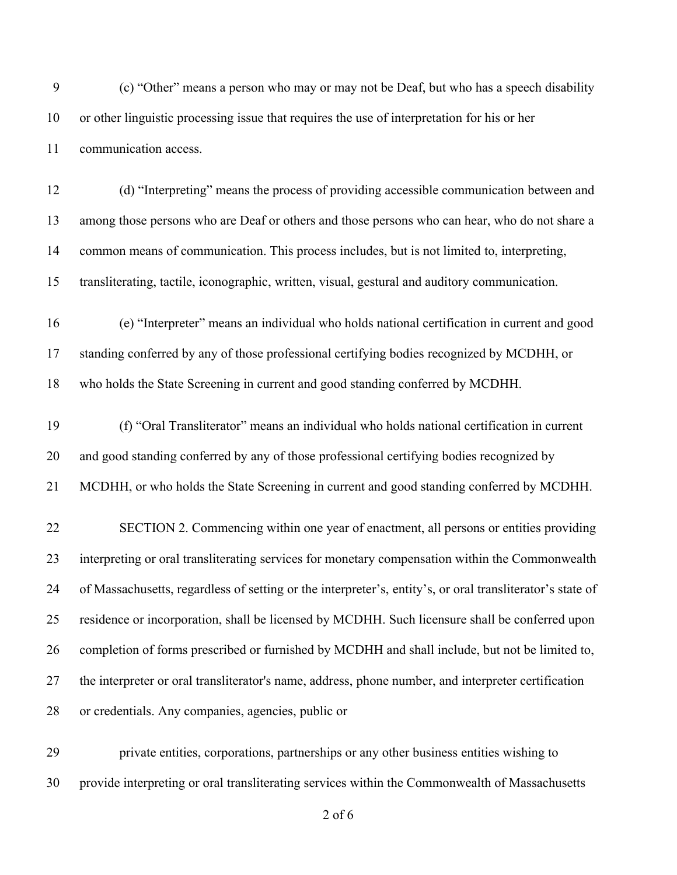(c) "Other" means a person who may or may not be Deaf, but who has a speech disability or other linguistic processing issue that requires the use of interpretation for his or her communication access.

 (d) "Interpreting" means the process of providing accessible communication between and among those persons who are Deaf or others and those persons who can hear, who do not share a common means of communication. This process includes, but is not limited to, interpreting, transliterating, tactile, iconographic, written, visual, gestural and auditory communication.

 (e) "Interpreter" means an individual who holds national certification in current and good standing conferred by any of those professional certifying bodies recognized by MCDHH, or who holds the State Screening in current and good standing conferred by MCDHH.

 (f) "Oral Transliterator" means an individual who holds national certification in current and good standing conferred by any of those professional certifying bodies recognized by MCDHH, or who holds the State Screening in current and good standing conferred by MCDHH.

 SECTION 2. Commencing within one year of enactment, all persons or entities providing interpreting or oral transliterating services for monetary compensation within the Commonwealth of Massachusetts, regardless of setting or the interpreter's, entity's, or oral transliterator's state of residence or incorporation, shall be licensed by MCDHH. Such licensure shall be conferred upon completion of forms prescribed or furnished by MCDHH and shall include, but not be limited to, the interpreter or oral transliterator's name, address, phone number, and interpreter certification or credentials. Any companies, agencies, public or

 private entities, corporations, partnerships or any other business entities wishing to provide interpreting or oral transliterating services within the Commonwealth of Massachusetts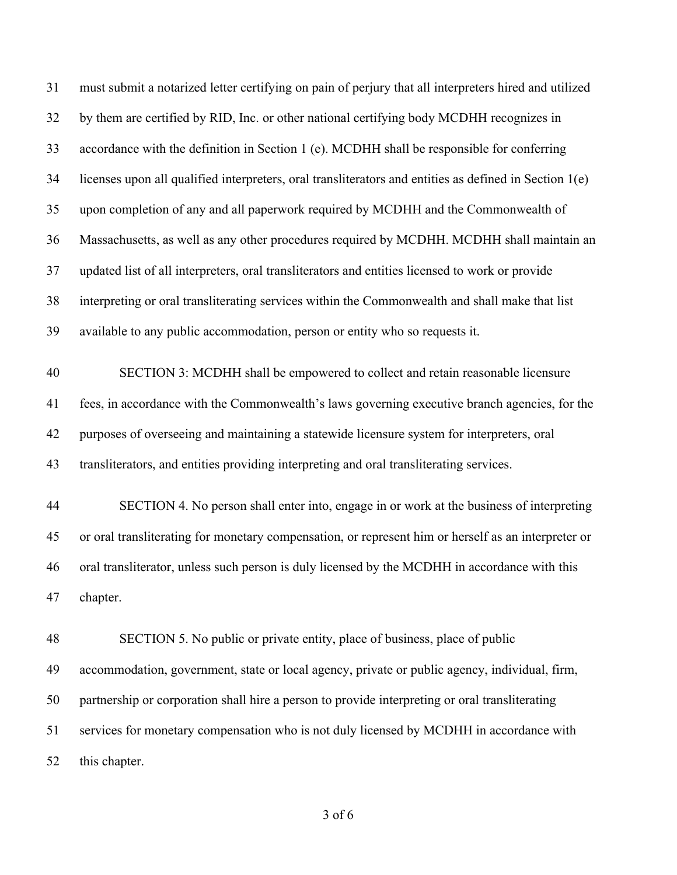must submit a notarized letter certifying on pain of perjury that all interpreters hired and utilized by them are certified by RID, Inc. or other national certifying body MCDHH recognizes in accordance with the definition in Section 1 (e). MCDHH shall be responsible for conferring licenses upon all qualified interpreters, oral transliterators and entities as defined in Section 1(e) upon completion of any and all paperwork required by MCDHH and the Commonwealth of Massachusetts, as well as any other procedures required by MCDHH. MCDHH shall maintain an updated list of all interpreters, oral transliterators and entities licensed to work or provide interpreting or oral transliterating services within the Commonwealth and shall make that list available to any public accommodation, person or entity who so requests it. SECTION 3: MCDHH shall be empowered to collect and retain reasonable licensure fees, in accordance with the Commonwealth's laws governing executive branch agencies, for the purposes of overseeing and maintaining a statewide licensure system for interpreters, oral transliterators, and entities providing interpreting and oral transliterating services. SECTION 4. No person shall enter into, engage in or work at the business of interpreting or oral transliterating for monetary compensation, or represent him or herself as an interpreter or oral transliterator, unless such person is duly licensed by the MCDHH in accordance with this chapter. SECTION 5. No public or private entity, place of business, place of public accommodation, government, state or local agency, private or public agency, individual, firm, partnership or corporation shall hire a person to provide interpreting or oral transliterating services for monetary compensation who is not duly licensed by MCDHH in accordance with this chapter.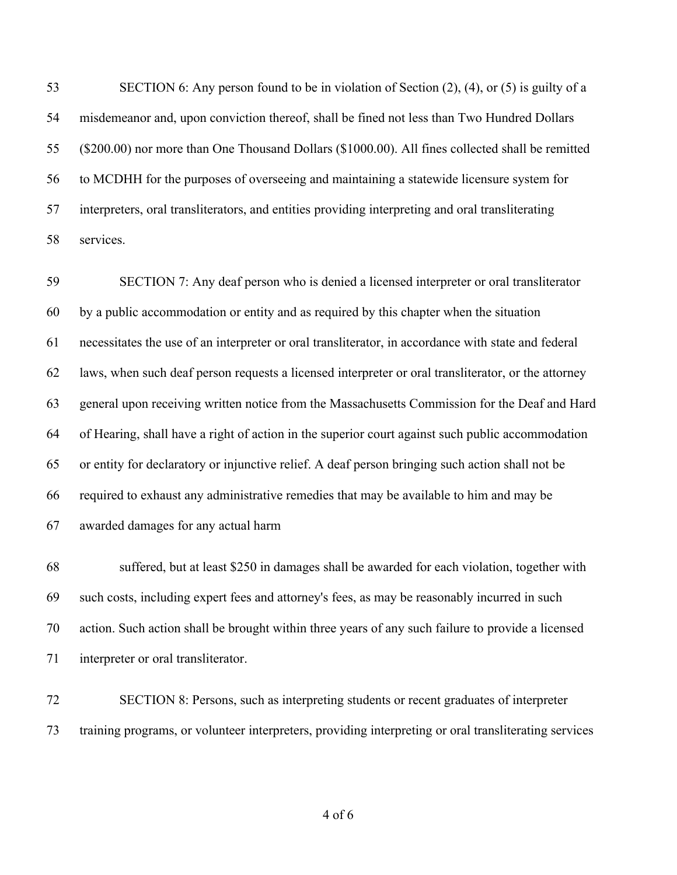SECTION 6: Any person found to be in violation of Section (2), (4), or (5) is guilty of a misdemeanor and, upon conviction thereof, shall be fined not less than Two Hundred Dollars (\$200.00) nor more than One Thousand Dollars (\$1000.00). All fines collected shall be remitted to MCDHH for the purposes of overseeing and maintaining a statewide licensure system for interpreters, oral transliterators, and entities providing interpreting and oral transliterating services.

 SECTION 7: Any deaf person who is denied a licensed interpreter or oral transliterator by a public accommodation or entity and as required by this chapter when the situation necessitates the use of an interpreter or oral transliterator, in accordance with state and federal laws, when such deaf person requests a licensed interpreter or oral transliterator, or the attorney general upon receiving written notice from the Massachusetts Commission for the Deaf and Hard of Hearing, shall have a right of action in the superior court against such public accommodation or entity for declaratory or injunctive relief. A deaf person bringing such action shall not be required to exhaust any administrative remedies that may be available to him and may be awarded damages for any actual harm

 suffered, but at least \$250 in damages shall be awarded for each violation, together with such costs, including expert fees and attorney's fees, as may be reasonably incurred in such action. Such action shall be brought within three years of any such failure to provide a licensed interpreter or oral transliterator.

 SECTION 8: Persons, such as interpreting students or recent graduates of interpreter training programs, or volunteer interpreters, providing interpreting or oral transliterating services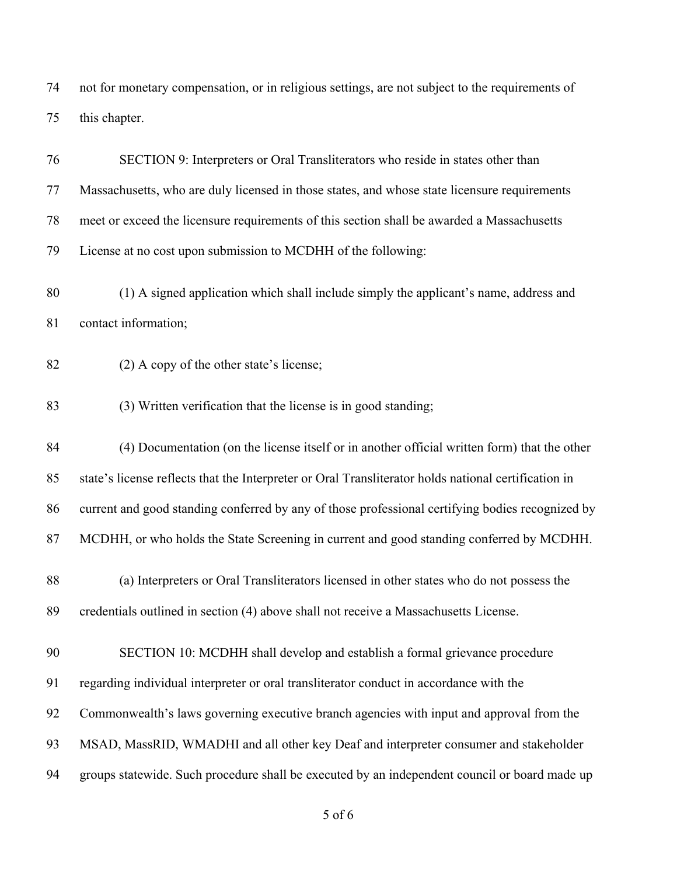not for monetary compensation, or in religious settings, are not subject to the requirements of this chapter.

| 76 | SECTION 9: Interpreters or Oral Transliterators who reside in states other than                      |
|----|------------------------------------------------------------------------------------------------------|
| 77 | Massachusetts, who are duly licensed in those states, and whose state licensure requirements         |
| 78 | meet or exceed the licensure requirements of this section shall be awarded a Massachusetts           |
| 79 | License at no cost upon submission to MCDHH of the following:                                        |
| 80 | (1) A signed application which shall include simply the applicant's name, address and                |
| 81 | contact information;                                                                                 |
| 82 | $(2)$ A copy of the other state's license;                                                           |
| 83 | (3) Written verification that the license is in good standing;                                       |
| 84 | (4) Documentation (on the license itself or in another official written form) that the other         |
| 85 | state's license reflects that the Interpreter or Oral Transliterator holds national certification in |
| 86 | current and good standing conferred by any of those professional certifying bodies recognized by     |
| 87 | MCDHH, or who holds the State Screening in current and good standing conferred by MCDHH.             |
| 88 | (a) Interpreters or Oral Transliterators licensed in other states who do not possess the             |
| 89 | credentials outlined in section (4) above shall not receive a Massachusetts License.                 |
| 90 | SECTION 10: MCDHH shall develop and establish a formal grievance procedure                           |
| 91 | regarding individual interpreter or oral transliterator conduct in accordance with the               |
| 92 | Commonwealth's laws governing executive branch agencies with input and approval from the             |
| 93 | MSAD, MassRID, WMADHI and all other key Deaf and interpreter consumer and stakeholder                |
| 94 | groups statewide. Such procedure shall be executed by an independent council or board made up        |